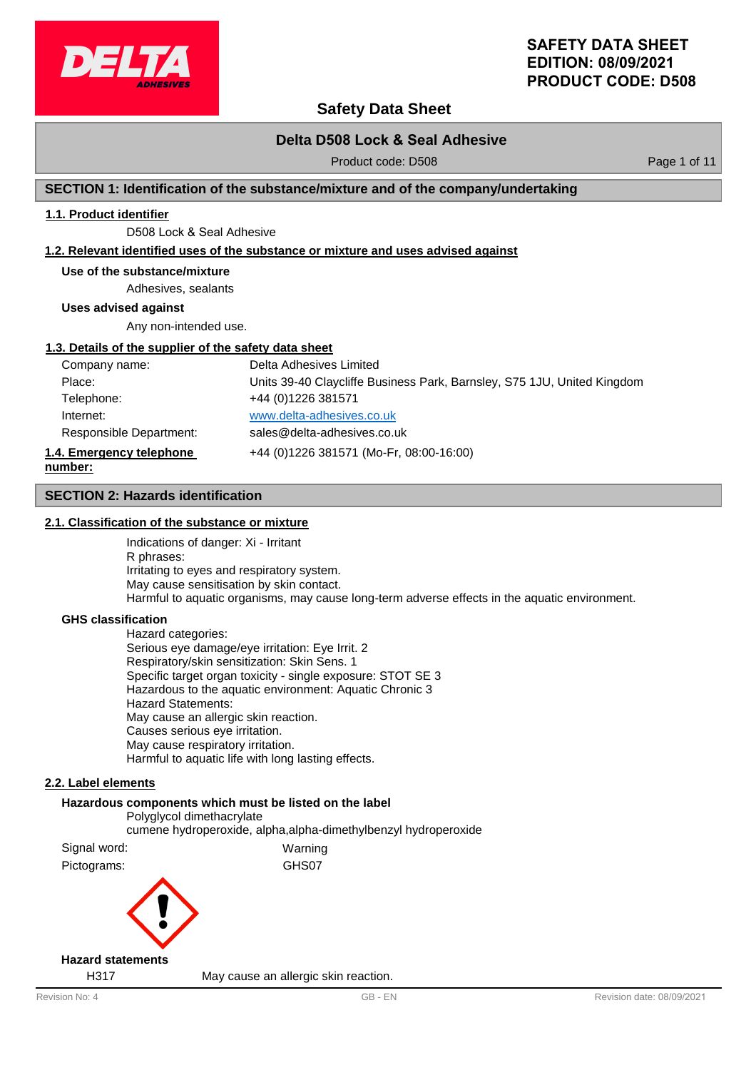

# **Safety Data Sheet**

# **Delta D508 Lock & Seal Adhesive**

Product code: D508 Product code: 0.508

# **SECTION 1: Identification of the substance/mixture and of the company/undertaking**

### **1.1. Product identifier**

D508 Lock & Seal Adhesive

### **1.2. Relevant identified uses of the substance or mixture and uses advised against**

#### **Use of the substance/mixture**

Adhesives, sealants

**Uses advised against**

Any non-intended use.

#### **1.3. Details of the supplier of the safety data sheet**

| Company name:            | Delta Adhesives Limited                                                 |
|--------------------------|-------------------------------------------------------------------------|
| Place:                   | Units 39-40 Claycliffe Business Park, Barnsley, S75 1JU, United Kingdom |
| Telephone:               | +44 (0) 1226 381571                                                     |
| Internet:                | www.delta-adhesives.co.uk                                               |
| Responsible Department:  | sales@delta-adhesives.co.uk                                             |
| 1.4. Emergency telephone | +44 (0)1226 381571 (Mo-Fr, 08:00-16:00)                                 |
| number:                  |                                                                         |

### **SECTION 2: Hazards identification**

### **2.1. Classification of the substance or mixture**

Indications of danger: Xi - Irritant R phrases: Irritating to eyes and respiratory system. May cause sensitisation by skin contact. Harmful to aquatic organisms, may cause long-term adverse effects in the aquatic environment.

#### **GHS classification**

Hazard categories: Serious eye damage/eye irritation: Eye Irrit. 2 Respiratory/skin sensitization: Skin Sens. 1 Specific target organ toxicity - single exposure: STOT SE 3 Hazardous to the aquatic environment: Aquatic Chronic 3 Hazard Statements: May cause an allergic skin reaction. Causes serious eye irritation. May cause respiratory irritation. Harmful to aquatic life with long lasting effects.

### **2.2. Label elements**

# **Hazardous components which must be listed on the label** Polyglycol dimethacrylate cumene hydroperoxide, alpha,alpha-dimethylbenzyl hydroperoxide Signal word: Warning Pictograms: GHS07



H317 May cause an allergic skin reaction.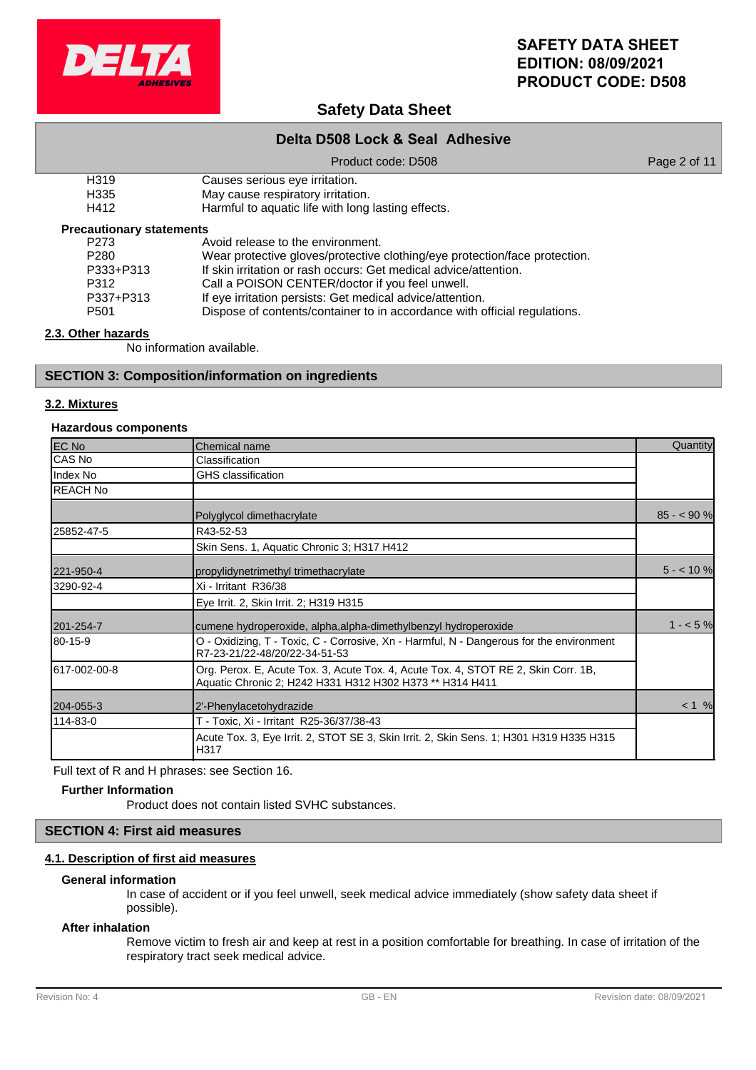

# **Safety Data Sheet**

# **Delta D508 Lock & Seal Adhesive**

Product code: D508 Product code: 0508

| H <sub>3</sub> 19 | Causes serious eye irritation. |
|-------------------|--------------------------------|
| .                 |                                |

H335 May cause respiratory irritation.<br>H412 Harmful to aquatic life with long

Harmful to aquatic life with long lasting effects.

### **Precautionary statements**

| P273             | Avoid release to the environment.                                          |
|------------------|----------------------------------------------------------------------------|
| P <sub>280</sub> | Wear protective gloves/protective clothing/eye protection/face protection. |
| P333+P313        | If skin irritation or rash occurs: Get medical advice/attention.           |
| P312             | Call a POISON CENTER/doctor if you feel unwell.                            |
| P337+P313        | If eye irritation persists: Get medical advice/attention.                  |
| P <sub>501</sub> | Dispose of contents/container to in accordance with official regulations.  |

# **2.3. Other hazards**

No information available.

# **SECTION 3: Composition/information on ingredients**

# **3.2. Mixtures**

# **Hazardous components**

| EC No           | Chemical name                                                                                                                                  | Quantity    |
|-----------------|------------------------------------------------------------------------------------------------------------------------------------------------|-------------|
| CAS No          | Classification                                                                                                                                 |             |
| Index No        | GHS classification                                                                                                                             |             |
| <b>REACH No</b> |                                                                                                                                                |             |
|                 | Polyglycol dimethacrylate                                                                                                                      | $85 - 90 %$ |
| 25852-47-5      | R43-52-53                                                                                                                                      |             |
|                 | Skin Sens. 1, Aquatic Chronic 3; H317 H412                                                                                                     |             |
| 221-950-4       | propylidynetrimethyl trimethacrylate                                                                                                           | $5 - 10%$   |
| 3290-92-4       | Xi - Irritant R36/38                                                                                                                           |             |
|                 | Eye Irrit. 2, Skin Irrit. 2; H319 H315                                                                                                         |             |
| 201-254-7       | cumene hydroperoxide, alpha, alpha-dimethylbenzyl hydroperoxide                                                                                | $1 - 5%$    |
| 80-15-9         | O - Oxidizing, T - Toxic, C - Corrosive, Xn - Harmful, N - Dangerous for the environment<br>R7-23-21/22-48/20/22-34-51-53                      |             |
| 617-002-00-8    | Org. Perox. E, Acute Tox. 3, Acute Tox. 4, Acute Tox. 4, STOT RE 2, Skin Corr. 1B,<br>Aquatic Chronic 2; H242 H331 H312 H302 H373 ** H314 H411 |             |
| 204-055-3       | 2'-Phenylacetohydrazide                                                                                                                        | < 1 %       |
| 114-83-0        | T - Toxic, Xi - Irritant R25-36/37/38-43                                                                                                       |             |
|                 | Acute Tox. 3, Eye Irrit. 2, STOT SE 3, Skin Irrit. 2, Skin Sens. 1; H301 H319 H335 H315<br>H317                                                |             |

Full text of R and H phrases: see Section 16.

### **Further Information**

Product does not contain listed SVHC substances.

# **SECTION 4: First aid measures**

# **4.1. Description of first aid measures**

#### **General information**

In case of accident or if you feel unwell, seek medical advice immediately (show safety data sheet if possible).

#### **After inhalation**

Remove victim to fresh air and keep at rest in a position comfortable for breathing. In case of irritation of the respiratory tract seek medical advice.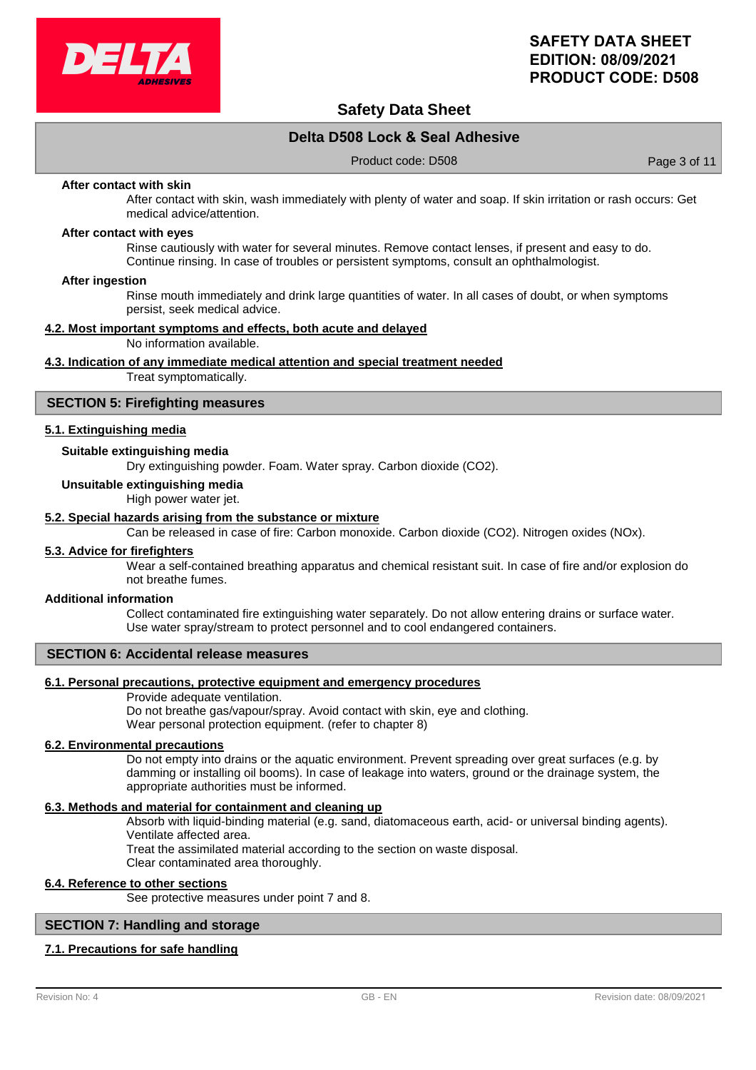

# **Safety Data Sheet**

# **Delta D508 Lock & Seal Adhesive**

Product code: D508 Product code: Page 3 of 11

#### **After contact with skin**

After contact with skin, wash immediately with plenty of water and soap. If skin irritation or rash occurs: Get medical advice/attention.

#### **After contact with eyes**

Rinse cautiously with water for several minutes. Remove contact lenses, if present and easy to do. Continue rinsing. In case of troubles or persistent symptoms, consult an ophthalmologist.

#### **After ingestion**

Rinse mouth immediately and drink large quantities of water. In all cases of doubt, or when symptoms persist, seek medical advice.

#### **4.2. Most important symptoms and effects, both acute and delayed**

No information available.

#### **4.3. Indication of any immediate medical attention and special treatment needed**

Treat symptomatically.

#### **SECTION 5: Firefighting measures**

#### **5.1. Extinguishing media**

# **Suitable extinguishing media**

Dry extinguishing powder. Foam. Water spray. Carbon dioxide (CO2).

#### **Unsuitable extinguishing media**

High power water jet.

#### **5.2. Special hazards arising from the substance or mixture**

Can be released in case of fire: Carbon monoxide. Carbon dioxide (CO2). Nitrogen oxides (NOx).

### **5.3. Advice for firefighters**

Wear a self-contained breathing apparatus and chemical resistant suit. In case of fire and/or explosion do not breathe fumes.

#### **Additional information**

Collect contaminated fire extinguishing water separately. Do not allow entering drains or surface water. Use water spray/stream to protect personnel and to cool endangered containers.

#### **SECTION 6: Accidental release measures**

#### **6.1. Personal precautions, protective equipment and emergency procedures**

Provide adequate ventilation.

Do not breathe gas/vapour/spray. Avoid contact with skin, eye and clothing. Wear personal protection equipment. (refer to chapter 8)

#### **6.2. Environmental precautions**

Do not empty into drains or the aquatic environment. Prevent spreading over great surfaces (e.g. by damming or installing oil booms). In case of leakage into waters, ground or the drainage system, the appropriate authorities must be informed.

#### **6.3. Methods and material for containment and cleaning up**

Absorb with liquid-binding material (e.g. sand, diatomaceous earth, acid- or universal binding agents). Ventilate affected area.

Treat the assimilated material according to the section on waste disposal.

Clear contaminated area thoroughly.

#### **6.4. Reference to other sections**

See protective measures under point 7 and 8.

### **SECTION 7: Handling and storage**

#### **7.1. Precautions for safe handling**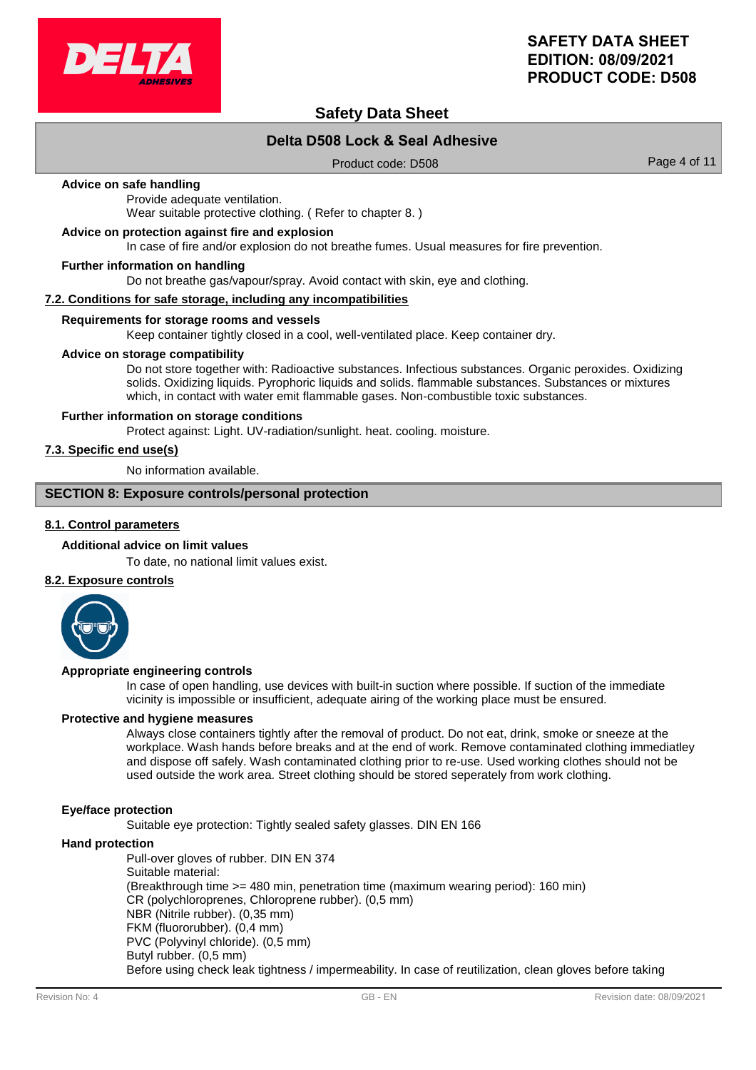

# **Safety Data Sheet**

# **Delta D508 Lock & Seal Adhesive**

Product code: D508 Product 2008

#### **Advice on safe handling**

Provide adequate ventilation. Wear suitable protective clothing. ( Refer to chapter 8. )

#### **Advice on protection against fire and explosion**

In case of fire and/or explosion do not breathe fumes. Usual measures for fire prevention.

#### **Further information on handling**

Do not breathe gas/vapour/spray. Avoid contact with skin, eye and clothing.

#### **7.2. Conditions for safe storage, including any incompatibilities**

#### **Requirements for storage rooms and vessels**

Keep container tightly closed in a cool, well-ventilated place. Keep container dry.

#### **Advice on storage compatibility**

Do not store together with: Radioactive substances. Infectious substances. Organic peroxides. Oxidizing solids. Oxidizing liquids. Pyrophoric liquids and solids. flammable substances. Substances or mixtures which, in contact with water emit flammable gases. Non-combustible toxic substances.

#### **Further information on storage conditions**

Protect against: Light. UV-radiation/sunlight. heat. cooling. moisture.

# **7.3. Specific end use(s)**

No information available.

# **SECTION 8: Exposure controls/personal protection**

# **8.1. Control parameters**

#### **Additional advice on limit values**

To date, no national limit values exist.

### **8.2. Exposure controls**



#### **Appropriate engineering controls**

In case of open handling, use devices with built-in suction where possible. If suction of the immediate vicinity is impossible or insufficient, adequate airing of the working place must be ensured.

#### **Protective and hygiene measures**

Always close containers tightly after the removal of product. Do not eat, drink, smoke or sneeze at the workplace. Wash hands before breaks and at the end of work. Remove contaminated clothing immediatley and dispose off safely. Wash contaminated clothing prior to re-use. Used working clothes should not be used outside the work area. Street clothing should be stored seperately from work clothing.

#### **Eye/face protection**

Suitable eye protection: Tightly sealed safety glasses. DIN EN 166

#### **Hand protection**

Pull-over gloves of rubber. DIN EN 374 Suitable material: (Breakthrough time >= 480 min, penetration time (maximum wearing period): 160 min) CR (polychloroprenes, Chloroprene rubber). (0,5 mm) NBR (Nitrile rubber). (0,35 mm) FKM (fluororubber). (0,4 mm) PVC (Polyvinyl chloride). (0,5 mm) Butyl rubber. (0,5 mm) Before using check leak tightness / impermeability. In case of reutilization, clean gloves before taking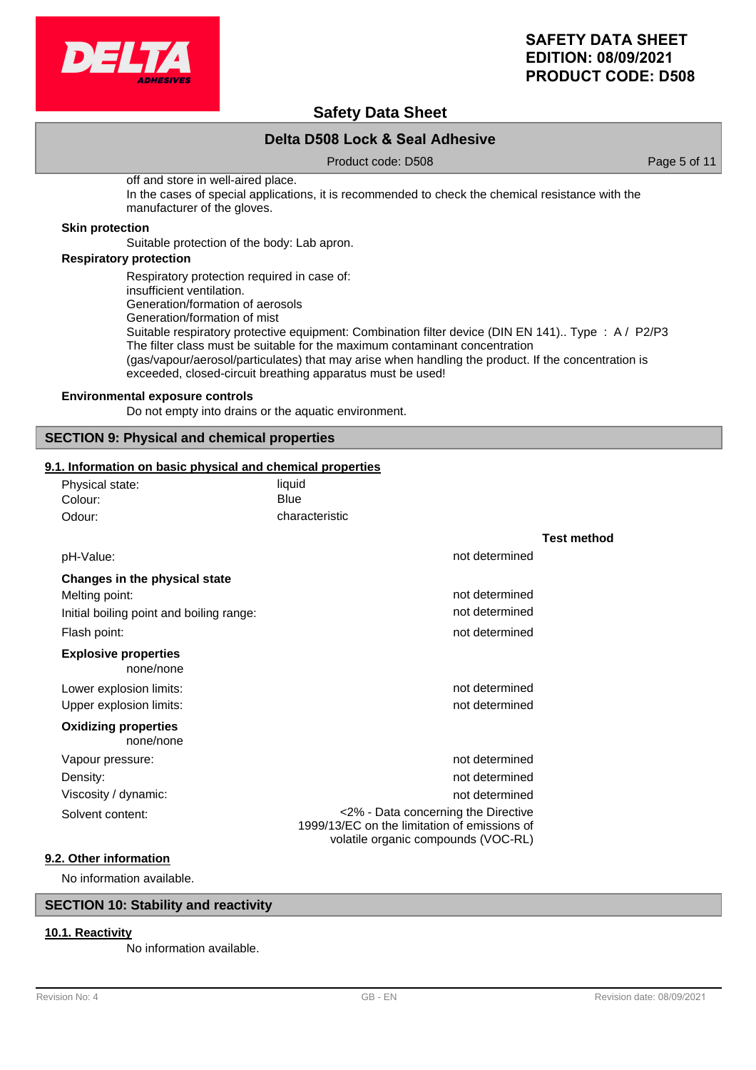

# **Safety Data Sheet**

# **Delta D508 Lock & Seal Adhesive**

Product code: D508 Product code: 0.508

off and store in well-aired place. In the cases of special applications, it is recommended to check the chemical resistance with the manufacturer of the gloves.

#### **Skin protection**

Suitable protection of the body: Lab apron.

# **Respiratory protection**

Respiratory protection required in case of: insufficient ventilation. Generation/formation of aerosols Generation/formation of mist Suitable respiratory protective equipment: Combination filter device (DIN EN 141).. Type : A / P2/P3 The filter class must be suitable for the maximum contaminant concentration (gas/vapour/aerosol/particulates) that may arise when handling the product. If the concentration is exceeded, closed-circuit breathing apparatus must be used!

### **Environmental exposure controls**

Do not empty into drains or the aquatic environment.

# **SECTION 9: Physical and chemical properties**

### **9.1. Information on basic physical and chemical properties**

| Physical state: | liquid         |
|-----------------|----------------|
| Colour:         | Blue           |
| Odour:          | characteristic |

|                                          |                                                                                                                            | <b>Test method</b> |
|------------------------------------------|----------------------------------------------------------------------------------------------------------------------------|--------------------|
| pH-Value:                                | not determined                                                                                                             |                    |
| Changes in the physical state            |                                                                                                                            |                    |
| Melting point:                           | not determined                                                                                                             |                    |
| Initial boiling point and boiling range: | not determined                                                                                                             |                    |
| Flash point:                             | not determined                                                                                                             |                    |
| <b>Explosive properties</b><br>none/none |                                                                                                                            |                    |
| Lower explosion limits:                  | not determined                                                                                                             |                    |
| Upper explosion limits:                  | not determined                                                                                                             |                    |
| <b>Oxidizing properties</b><br>none/none |                                                                                                                            |                    |
| Vapour pressure:                         | not determined                                                                                                             |                    |
| Density:                                 | not determined                                                                                                             |                    |
| Viscosity / dynamic:                     | not determined                                                                                                             |                    |
| Solvent content:                         | <2% - Data concerning the Directive<br>1999/13/EC on the limitation of emissions of<br>volatile organic compounds (VOC-RL) |                    |
| 9.2. Other information                   |                                                                                                                            |                    |

No information available.

# **SECTION 10: Stability and reactivity**

# **10.1. Reactivity**

No information available.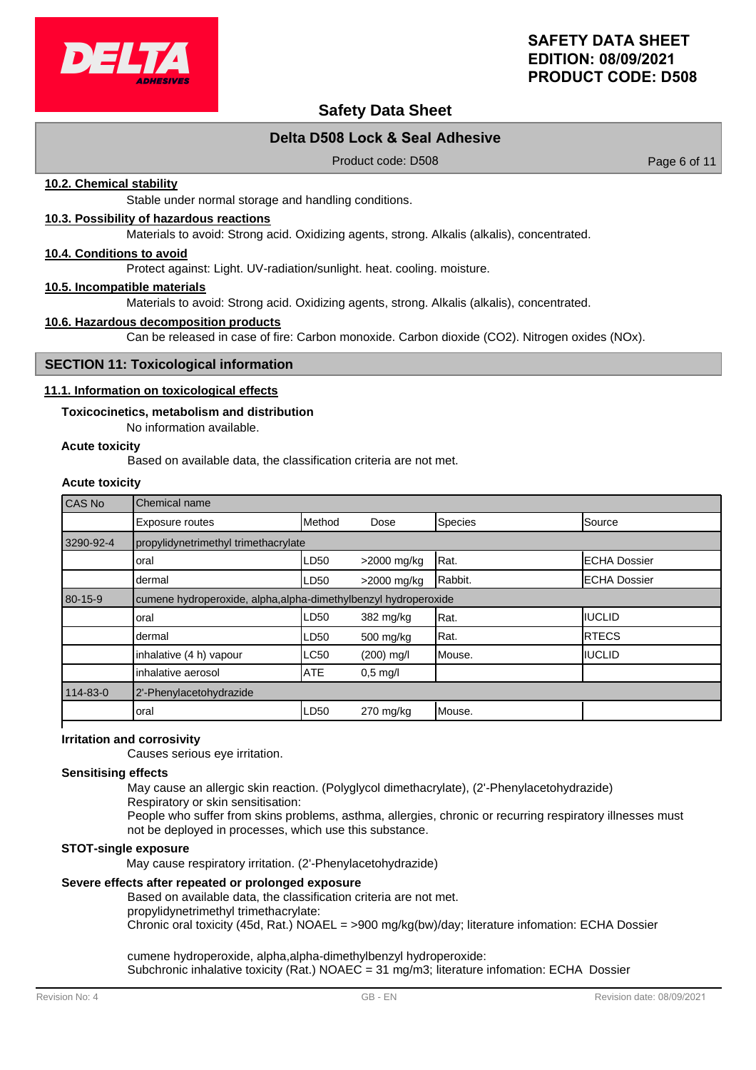

# **Safety Data Sheet**

# **Delta D508 Lock & Seal Adhesive**

Product code: D508 Product code: 0.508

### **10.2. Chemical stability**

Stable under normal storage and handling conditions.

### **10.3. Possibility of hazardous reactions**

Materials to avoid: Strong acid. Oxidizing agents, strong. Alkalis (alkalis), concentrated.

### **10.4. Conditions to avoid**

Protect against: Light. UV-radiation/sunlight. heat. cooling. moisture.

#### **10.5. Incompatible materials**

Materials to avoid: Strong acid. Oxidizing agents, strong. Alkalis (alkalis), concentrated.

#### **10.6. Hazardous decomposition products**

Can be released in case of fire: Carbon monoxide. Carbon dioxide (CO2). Nitrogen oxides (NOx).

### **SECTION 11: Toxicological information**

#### **11.1. Information on toxicological effects**

#### **Toxicocinetics, metabolism and distribution**

No information available.

#### **Acute toxicity**

Based on available data, the classification criteria are not met.

# **Acute toxicity**

| CAS No    | Chemical name                                                   |            |             |         |                      |  |
|-----------|-----------------------------------------------------------------|------------|-------------|---------|----------------------|--|
|           | <b>Exposure routes</b>                                          | Method     | Dose        | Species | Source               |  |
| 3290-92-4 | propylidynetrimethyl trimethacrylate                            |            |             |         |                      |  |
|           | loral                                                           | LD50       | >2000 mg/kg | Rat.    | <b>IECHA Dossier</b> |  |
|           | dermal                                                          | LD50       | >2000 mg/kg | Rabbit. | <b>ECHA Dossier</b>  |  |
| 80-15-9   | cumene hydroperoxide, alpha, alpha-dimethylbenzyl hydroperoxide |            |             |         |                      |  |
|           | loral                                                           | LD50       | 382 mg/kg   | Rat.    | IIUCLID              |  |
|           | dermal                                                          | LD50       | 500 mg/kg   | Rat.    | <b>IRTECS</b>        |  |
|           | inhalative (4 h) vapour                                         | LC50       | (200) mg/l  | Mouse.  | <b>IIUCLID</b>       |  |
|           | inhalative aerosol                                              | <b>ATE</b> | $0.5$ mg/l  |         |                      |  |
| 114-83-0  | 2'-Phenylacetohydrazide                                         |            |             |         |                      |  |
|           | loral                                                           | LD50       | $270$ mg/kg | Mouse.  |                      |  |
|           |                                                                 |            |             |         |                      |  |

#### **Irritation and corrosivity**

Causes serious eye irritation.

#### **Sensitising effects**

May cause an allergic skin reaction. (Polyglycol dimethacrylate), (2'-Phenylacetohydrazide)

Respiratory or skin sensitisation:

People who suffer from skins problems, asthma, allergies, chronic or recurring respiratory illnesses must not be deployed in processes, which use this substance.

#### **STOT-single exposure**

May cause respiratory irritation. (2'-Phenylacetohydrazide)

# **Severe effects after repeated or prolonged exposure**

Based on available data, the classification criteria are not met. propylidynetrimethyl trimethacrylate:

Chronic oral toxicity (45d, Rat.) NOAEL = >900 mg/kg(bw)/day; literature infomation: ECHA Dossier

cumene hydroperoxide, alpha,alpha-dimethylbenzyl hydroperoxide: Subchronic inhalative toxicity (Rat.) NOAEC = 31 mg/m3; literature infomation: ECHA Dossier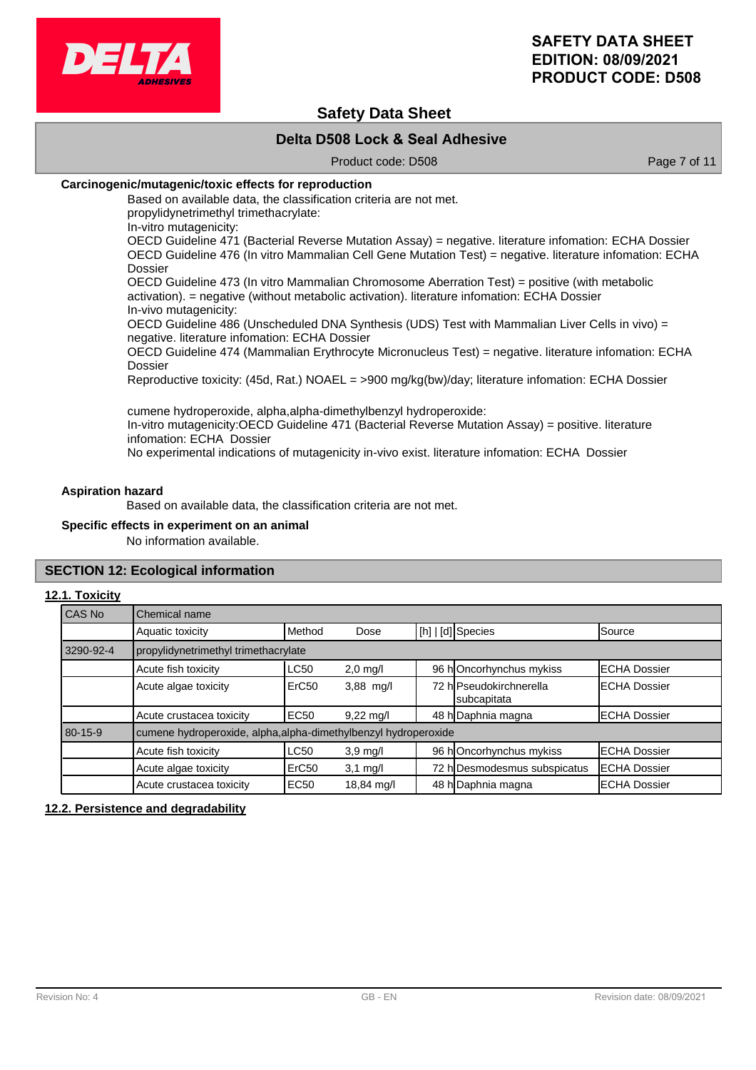

# **Safety Data Sheet**

# **Delta D508 Lock & Seal Adhesive**

Product code: D508 Product code: Page 7 of 11

### **Carcinogenic/mutagenic/toxic effects for reproduction**

Based on available data, the classification criteria are not met. propylidynetrimethyl trimethacrylate:

In-vitro mutagenicity:

OECD Guideline 471 (Bacterial Reverse Mutation Assay) = negative. literature infomation: ECHA Dossier OECD Guideline 476 (In vitro Mammalian Cell Gene Mutation Test) = negative. literature infomation: ECHA Dossier

OECD Guideline 473 (In vitro Mammalian Chromosome Aberration Test) = positive (with metabolic activation). = negative (without metabolic activation). literature infomation: ECHA Dossier In-vivo mutagenicity:

OECD Guideline 486 (Unscheduled DNA Synthesis (UDS) Test with Mammalian Liver Cells in vivo) = negative. literature infomation: ECHA Dossier

OECD Guideline 474 (Mammalian Erythrocyte Micronucleus Test) = negative. literature infomation: ECHA Dossier

Reproductive toxicity: (45d, Rat.) NOAEL = >900 mg/kg(bw)/day; literature infomation: ECHA Dossier

cumene hydroperoxide, alpha,alpha-dimethylbenzyl hydroperoxide: In-vitro mutagenicity:OECD Guideline 471 (Bacterial Reverse Mutation Assay) = positive. literature infomation: ECHA Dossier No experimental indications of mutagenicity in-vivo exist. literature infomation: ECHA Dossier

#### **Aspiration hazard**

Based on available data, the classification criteria are not met.

#### **Specific effects in experiment on an animal**

No information available.

### **SECTION 12: Ecological information**

#### **12.1. Toxicity**

| CAS No    | Chemical name                                                                                       |             |                     |  |                                        |                      |
|-----------|-----------------------------------------------------------------------------------------------------|-------------|---------------------|--|----------------------------------------|----------------------|
|           | Aquatic toxicity                                                                                    | Method      | Dose                |  | [h]   [d] Species                      | Source               |
| 3290-92-4 | propylidynetrimethyl trimethacrylate                                                                |             |                     |  |                                        |                      |
|           | 96 hOncorhynchus mykiss<br>Acute fish toxicity<br><b>LC50</b><br><b>IECHA Dossier</b><br>$2,0$ mg/l |             |                     |  |                                        |                      |
|           | Acute algae toxicity                                                                                | ErC50       | $3,88$ mg/l         |  | 72 hlPseudokirchnerella<br>subcapitata | <b>IECHA Dossier</b> |
|           | Acute crustacea toxicity                                                                            | EC50        | $9,22 \text{ mq/l}$ |  | 48 h Daphnia magna                     | <b>ECHA Dossier</b>  |
| 80-15-9   | cumene hydroperoxide, alpha, alpha-dimethylbenzyl hydroperoxide                                     |             |                     |  |                                        |                      |
|           | Acute fish toxicity                                                                                 | <b>LC50</b> | $3.9$ mg/l          |  | 96 hOncorhynchus mykiss                | <b>IECHA Dossier</b> |
|           | Acute algae toxicity                                                                                | ErC50       | $3,1$ mg/l          |  | 72 h Desmodesmus subspicatus           | <b>ECHA Dossier</b>  |
|           | Acute crustacea toxicity                                                                            | <b>EC50</b> | 18,84 mg/l          |  | 48 h Daphnia magna                     | <b>IECHA Dossier</b> |

### **12.2. Persistence and degradability**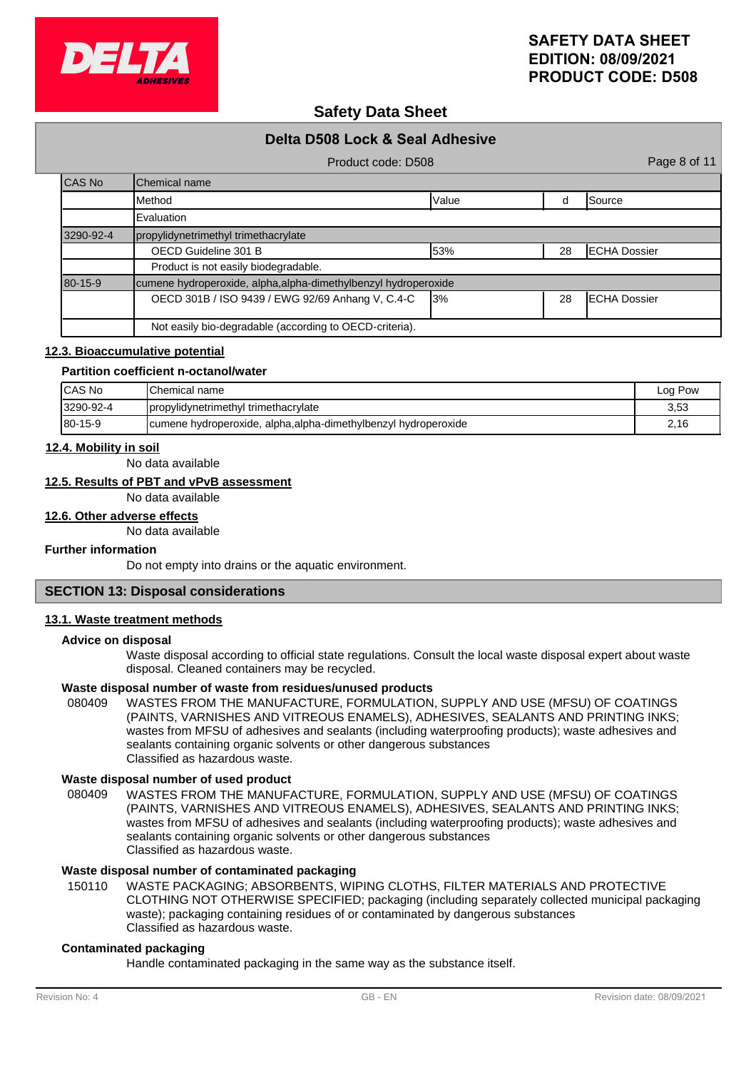

# **Safety Data Sheet**

|               | Delta D508 Lock & Seal Adhesive                                 |           |    |                      |
|---------------|-----------------------------------------------------------------|-----------|----|----------------------|
|               | Product code: D508                                              |           |    | Page 8 of 11         |
| CAS No        | Chemical name                                                   |           |    |                      |
|               | <b>I</b> Method                                                 | Value     | d  | <b>Source</b>        |
|               | Evaluation                                                      |           |    |                      |
| 3290-92-4     | propylidynetrimethyl trimethacrylate                            |           |    |                      |
|               | OECD Guideline 301 B                                            | 53%       | 28 | <b>ECHA Dossier</b>  |
|               | Product is not easily biodegradable.                            |           |    |                      |
| $80 - 15 - 9$ | cumene hydroperoxide, alpha, alpha-dimethylbenzyl hydroperoxide |           |    |                      |
|               | OECD 301B / ISO 9439 / EWG 92/69 Anhang V, C.4-C                | <b>3%</b> | 28 | <b>IECHA Dossier</b> |
|               | Not easily bio-degradable (according to OECD-criteria).         |           |    |                      |

#### **12.3. Bioaccumulative potential**

#### **Partition coefficient n-octanol/water**

| ICAS No        | <b>IChemical name</b>                                           | Log Pow |
|----------------|-----------------------------------------------------------------|---------|
| 3290-92-4      | propylidynetrimethyl trimethacrylate                            | 3,53    |
| $180 - 15 - 9$ | cumene hydroperoxide, alpha, alpha-dimethylbenzyl hydroperoxide | 2,16    |

#### **12.4. Mobility in soil**

No data available

# **12.5. Results of PBT and vPvB assessment**

No data available

#### **12.6. Other adverse effects**

No data available

### **Further information**

Do not empty into drains or the aquatic environment.

# **SECTION 13: Disposal considerations**

#### **13.1. Waste treatment methods**

#### **Advice on disposal**

Waste disposal according to official state regulations. Consult the local waste disposal expert about waste disposal. Cleaned containers may be recycled.

### **Waste disposal number of waste from residues/unused products**

080409 WASTES FROM THE MANUFACTURE, FORMULATION, SUPPLY AND USE (MFSU) OF COATINGS (PAINTS, VARNISHES AND VITREOUS ENAMELS), ADHESIVES, SEALANTS AND PRINTING INKS; wastes from MFSU of adhesives and sealants (including waterproofing products); waste adhesives and sealants containing organic solvents or other dangerous substances Classified as hazardous waste.

#### **Waste disposal number of used product**

WASTES FROM THE MANUFACTURE, FORMULATION, SUPPLY AND USE (MFSU) OF COATINGS (PAINTS, VARNISHES AND VITREOUS ENAMELS), ADHESIVES, SEALANTS AND PRINTING INKS; wastes from MFSU of adhesives and sealants (including waterproofing products); waste adhesives and sealants containing organic solvents or other dangerous substances Classified as hazardous waste. 080409

# **Waste disposal number of contaminated packaging**

WASTE PACKAGING; ABSORBENTS, WIPING CLOTHS, FILTER MATERIALS AND PROTECTIVE CLOTHING NOT OTHERWISE SPECIFIED; packaging (including separately collected municipal packaging waste); packaging containing residues of or contaminated by dangerous substances Classified as hazardous waste. 150110

#### **Contaminated packaging**

Handle contaminated packaging in the same way as the substance itself.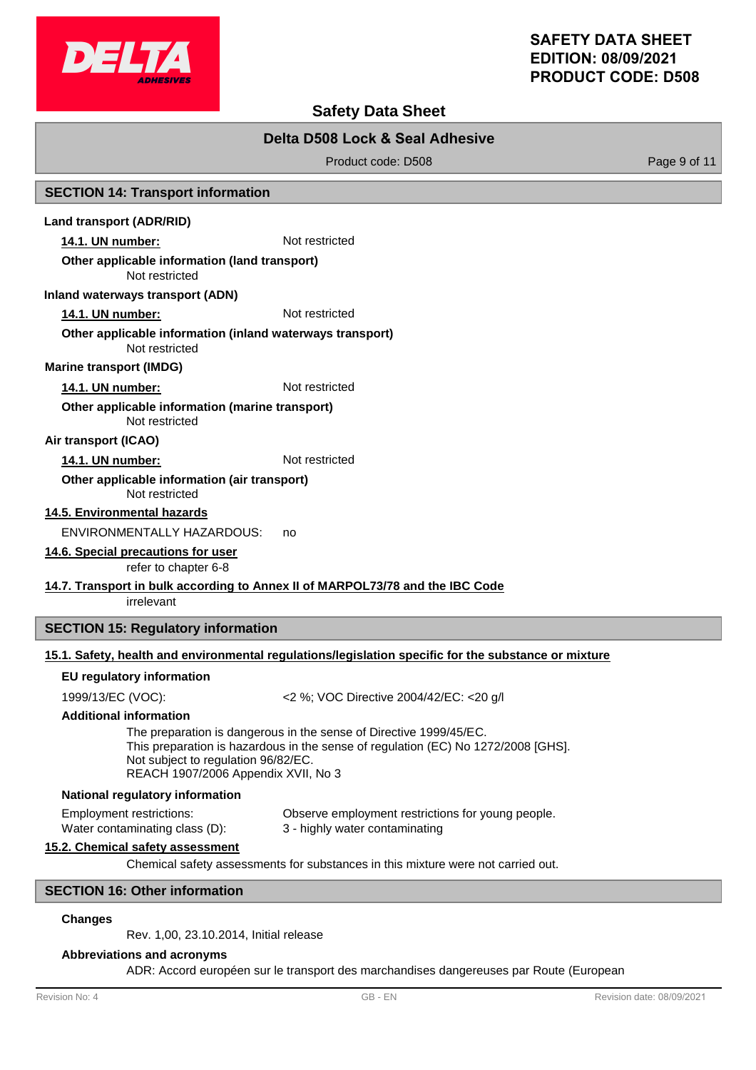

# **Safety Data Sheet**

# **Delta D508 Lock & Seal Adhesive**

Product code: D508 Product code: P508

# **SECTION 14: Transport information**

### **Land transport (ADR/RID)**

**14.1. UN number:** Not restricted

### **Other applicable information (land transport)**

Not restricted

#### **Inland waterways transport (ADN)**

**14.1. UN number:** Not restricted

#### Not restricted **Other applicable information (inland waterways transport)**

**Marine transport (IMDG)**

# **14.1. UN number:** Not restricted

Not restricted **Other applicable information (marine transport)**

# **Air transport (ICAO)**

14.1. UN number: Not restricted

#### Not restricted **Other applicable information (air transport)**

**14.5. Environmental hazards**

ENVIRONMENTALLY HAZARDOUS: no

**14.6. Special precautions for user**

refer to chapter 6-8

# **14.7. Transport in bulk according to Annex II of MARPOL73/78 and the IBC Code**

irrelevant

# **SECTION 15: Regulatory information**

# **15.1. Safety, health and environmental regulations/legislation specific for the substance or mixture**

### **EU regulatory information**

1999/13/EC (VOC): <2 %; VOC Directive 2004/42/EC: <20 g/l

### **Additional information**

The preparation is dangerous in the sense of Directive 1999/45/EC. This preparation is hazardous in the sense of regulation (EC) No 1272/2008 [GHS]. Not subject to regulation 96/82/EC. REACH 1907/2006 Appendix XVII, No 3

### **National regulatory information**

Employment restrictions: Observe employment restrictions for young people. Water contaminating class (D): 3 - highly water contaminating

# **15.2. Chemical safety assessment**

Chemical safety assessments for substances in this mixture were not carried out.

# **SECTION 16: Other information**

### **Changes**

Rev. 1,00, 23.10.2014, Initial release

### **Abbreviations and acronyms**

ADR: Accord européen sur le transport des marchandises dangereuses par Route (European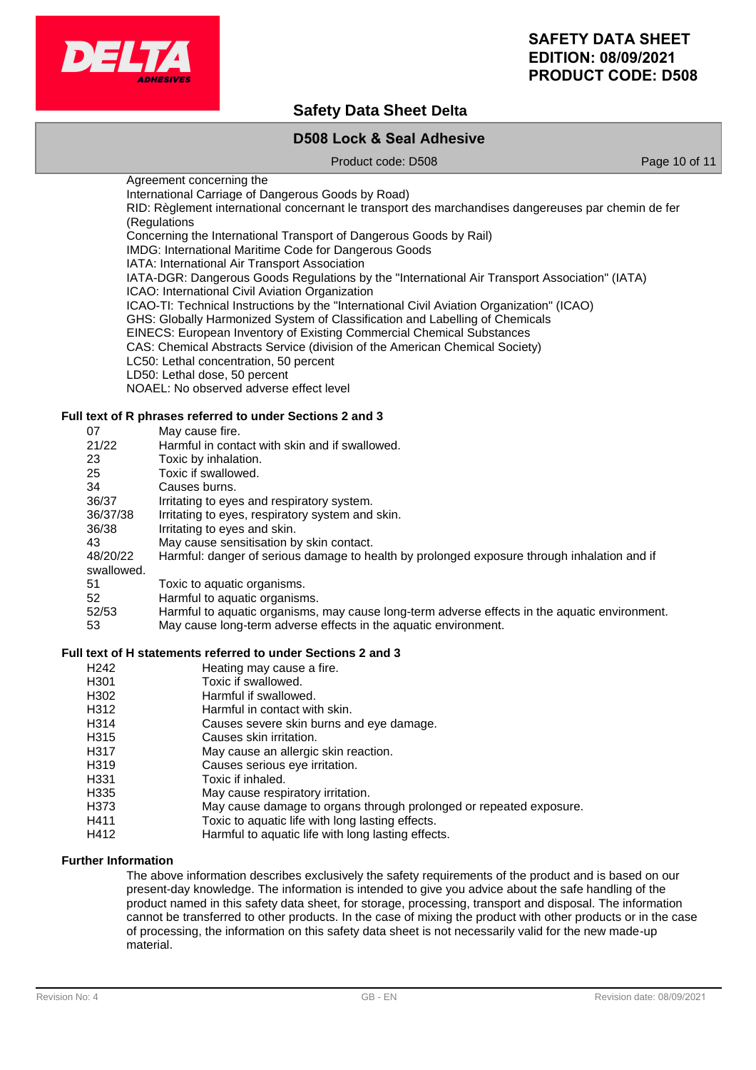

# **Safety Data Sheet Delta**

# **D508 Lock & Seal Adhesive**

Product code: D508 Product code: 0.508

Agreement concerning the International Carriage of Dangerous Goods by Road) RID: Règlement international concernant le transport des marchandises dangereuses par chemin de fer (Regulations Concerning the International Transport of Dangerous Goods by Rail) IMDG: International Maritime Code for Dangerous Goods IATA: International Air Transport Association IATA-DGR: Dangerous Goods Regulations by the "International Air Transport Association" (IATA) ICAO: International Civil Aviation Organization ICAO-TI: Technical Instructions by the "International Civil Aviation Organization" (ICAO) GHS: Globally Harmonized System of Classification and Labelling of Chemicals EINECS: European Inventory of Existing Commercial Chemical Substances CAS: Chemical Abstracts Service (division of the American Chemical Society) LC50: Lethal concentration, 50 percent LD50: Lethal dose, 50 percent NOAEL: No observed adverse effect level

# **Full text of R phrases referred to under Sections 2 and 3**

| 07         | May cause fire.                                                                               |
|------------|-----------------------------------------------------------------------------------------------|
| 21/22      | Harmful in contact with skin and if swallowed.                                                |
| 23         | Toxic by inhalation.                                                                          |
| 25         | Toxic if swallowed.                                                                           |
| 34         | Causes burns.                                                                                 |
| 36/37      | Irritating to eyes and respiratory system.                                                    |
| 36/37/38   | Irritating to eyes, respiratory system and skin.                                              |
| 36/38      | Irritating to eyes and skin.                                                                  |
| 43         | May cause sensitisation by skin contact.                                                      |
| 48/20/22   | Harmful: danger of serious damage to health by prolonged exposure through inhalation and if   |
| swallowed. |                                                                                               |
| 51         | Toxic to aquatic organisms.                                                                   |
| 52         | Harmful to aquatic organisms.                                                                 |
| 52/53      | Harmful to aquatic organisms, may cause long-term adverse effects in the aquatic environment. |
| 53         | May cause long-term adverse effects in the aquatic environment.                               |

#### **Full text of H statements referred to under Sections 2 and 3**

- H<sub>242</sub> Heating may cause a fire.
- H301 Toxic if swallowed.
- H302 Harmful if swallowed.
- H312 Harmful in contact with skin.
- H314 Causes severe skin burns and eye damage.
- H315 Causes skin irritation.
- H317 May cause an allergic skin reaction.
- H319 Causes serious eye irritation.<br>
H331 Toxic if inhaled.
- Toxic if inhaled.
- H335 May cause respiratory irritation.
- H373 May cause damage to organs through prolonged or repeated exposure.
- H411 Toxic to aquatic life with long lasting effects.
- H412 Harmful to aquatic life with long lasting effects.

# **Further Information**

The above information describes exclusively the safety requirements of the product and is based on our present-day knowledge. The information is intended to give you advice about the safe handling of the product named in this safety data sheet, for storage, processing, transport and disposal. The information cannot be transferred to other products. In the case of mixing the product with other products or in the case of processing, the information on this safety data sheet is not necessarily valid for the new made-up material.